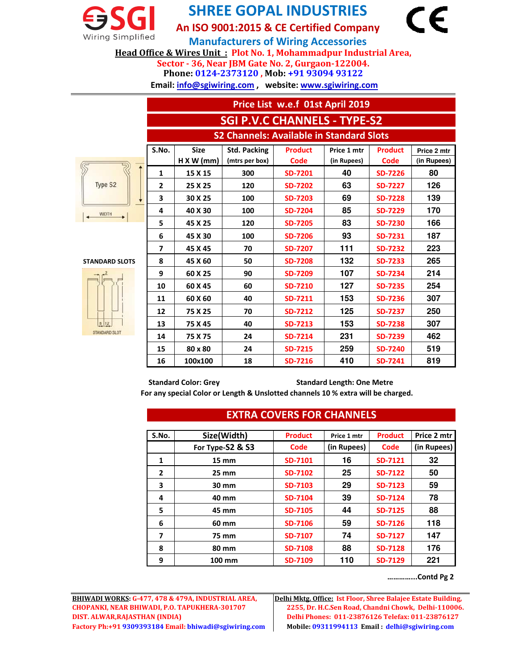

## **SHREE GOPAL INDUSTRIES**

**An ISO 9001:2015 & CE Certified Company**

**Sector - 36, Near JBM Gate No. 2, Gurgaon-122004. Manufacturers of Wiring Accessories Head Office & Wires Unit : Plot No. 1, Mohammadpur Industrial Area,**

**Phone: 0124-2373120 , Mob: +91 93094 93122**

 **Email: info@sgiwiring.com , website: www.sgiwiring.com**

|                       | Price List w.e.f 01st April 2019                |             |                     |                |             |                |             |
|-----------------------|-------------------------------------------------|-------------|---------------------|----------------|-------------|----------------|-------------|
|                       | <b>SGI P.V.C CHANNELS - TYPE-S2</b>             |             |                     |                |             |                |             |
|                       | <b>S2 Channels: Available in Standard Slots</b> |             |                     |                |             |                |             |
|                       | S.No.                                           | <b>Size</b> | <b>Std. Packing</b> | <b>Product</b> | Price 1 mtr | <b>Product</b> | Price 2 mtr |
|                       |                                                 | H X W (mm)  | (mtrs per box)      | Code           | (in Rupees) | Code           | (in Rupees) |
|                       | 1                                               | 15 X 15     | 300                 | SD-7201        | 40          | <b>SD-7226</b> | 80          |
| Type S2               | $\overline{2}$                                  | 25 X 25     | 120                 | <b>SD-7202</b> | 63          | <b>SD-7227</b> | 126         |
|                       | 3                                               | 30 X 25     | 100                 | <b>SD-7203</b> | 69          | <b>SD-7228</b> | 139         |
| <b>WIDTH</b>          | 4                                               | 40 X 30     | 100                 | <b>SD-7204</b> | 85          | <b>SD-7229</b> | 170         |
|                       | 5                                               | 45 X 25     | 120                 | <b>SD-7205</b> | 83          | <b>SD-7230</b> | 166         |
|                       | 6                                               | 45 X 30     | 100                 | <b>SD-7206</b> | 93          | SD-7231        | 187         |
|                       | 7                                               | 45 X 45     | 70                  | SD-7207        | 111         | <b>SD-7232</b> | 223         |
| <b>STANDARD SLOTS</b> | 8                                               | 45 X 60     | 50                  | <b>SD-7208</b> | 132         | <b>SD-7233</b> | 265         |
|                       | 9                                               | 60 X 25     | 90                  | SD-7209        | 107         | <b>SD-7234</b> | 214         |
|                       | 10                                              | 60 X 45     | 60                  | <b>SD-7210</b> | 127         | <b>SD-7235</b> | 254         |
|                       | 11                                              | 60 X 60     | 40                  | SD-7211        | 153         | <b>SD-7236</b> | 307         |
|                       | 12                                              | 75 X 25     | 70                  | SD-7212        | 125         | <b>SD-7237</b> | 250         |
| 8 12                  | 13                                              | 75 X 45     | 40                  | SD-7213        | 153         | <b>SD-7238</b> | 307         |
| STANDARD SLOT         | 14                                              | 75 X 75     | 24                  | SD-7214        | 231         | SD-7239        | 462         |
|                       | 15                                              | 80 x 80     | 24                  | SD-7215        | 259         | <b>SD-7240</b> | 519         |
|                       | 16                                              | 100x100     | 18                  | SD-7216        | 410         | SD-7241        | 819         |

Standard Color: Grey **Standard Length: One Metre** 

**For any special Color or Length & Unslotted channels 10 % extra will be charged.** 

| LATINA COVERS FOR CHANNELS |                   |                |             |                |             |  |
|----------------------------|-------------------|----------------|-------------|----------------|-------------|--|
|                            |                   |                |             |                |             |  |
| S.No.                      | Size(Width)       | <b>Product</b> | Price 1 mtr | <b>Product</b> | Price 2 mtr |  |
|                            | For Type-S2 & S3  | Code           | (in Rupees) | Code           | (in Rupees) |  |
| 1                          | $15 \, \text{mm}$ | SD-7101        | 16          | SD-7121        | 32          |  |
| $\overline{2}$             | $25 \, \text{mm}$ | SD-7102        | 25          | SD-7122        | 50          |  |
| 3                          | 30 mm             | SD-7103        | 29          | <b>SD-7123</b> | 59          |  |
| 4                          | 40 mm             | SD-7104        | 39          | SD-7124        | 78          |  |
| 5                          | 45 mm             | SD-7105        | 44          | <b>SD-7125</b> | 88          |  |
| 6                          | 60 mm             | SD-7106        | 59          | SD-7126        | 118         |  |
| 7                          | 75 mm             | SD-7107        | 74          | SD-7127        | 147         |  |
| 8                          | 80 mm             | <b>SD-7108</b> | 88          | <b>SD-7128</b> | 176         |  |
| 9                          | 100 mm            | SD-7109        | 110         | SD-7129        | 221         |  |

## **EXTRA COVERS FOR CHANNELS**

**…………...Contd Pg 2**

F

**BHIWADI WORKS: G-477, 478 & 479A, INDUSTRIAL AREA, Delhi Mktg. Office: Ist Floor, Shree Balajee Estate Building, CHOPANKI, NEAR BHIWADI, P.O. TAPUKHERA-301707 2255, Dr. H.C.Sen Road, Chandni Chowk, Delhi-110006. DIST. ALWAR,RAJASTHAN (INDIA) Delhi Phones: 011-23876126 Telefax: 011-23876127 Factory Ph:+91 9309393184 Email: bhiwadi@sgiwiring.com Mobile: 09311994113 Email : delhi@sgiwiring.com**